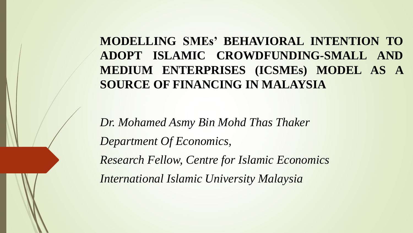**MODELLING SMEs' BEHAVIORAL INTENTION TO ADOPT ISLAMIC CROWDFUNDING-SMALL AND MEDIUM ENTERPRISES (ICSMEs) MODEL AS A SOURCE OF FINANCING IN MALAYSIA**

*Dr. Mohamed Asmy Bin Mohd Thas Thaker Department Of Economics, Research Fellow, Centre for Islamic Economics International Islamic University Malaysia*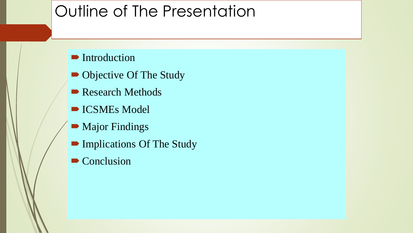# Outline of The Presentation

**Introduction** 

- Objective Of The Study
- Research Methods
- **ICSMEs Model**
- **Major Findings**
- **Implications Of The Study**
- Conclusion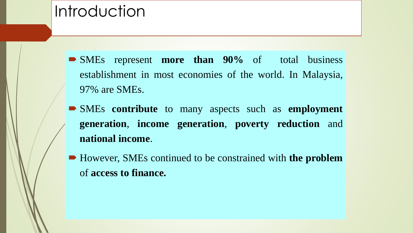### Introduction

- SMEs represent **more than 90%** of total business establishment in most economies of the world. In Malaysia, 97% are SMEs.
- SMEs **contribute** to many aspects such as **employment generation**, **income generation**, **poverty reduction** and **national income**.
- However, SMEs continued to be constrained with **the problem** of **access to finance.**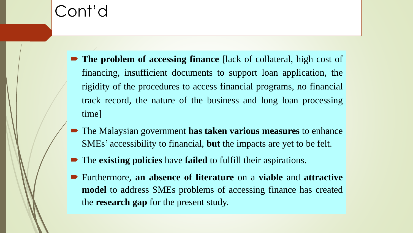- **The problem of accessing finance** [lack of collateral, high cost of financing, insufficient documents to support loan application, the rigidity of the procedures to access financial programs, no financial track record, the nature of the business and long loan processing time]
- The Malaysian government **has taken various measures** to enhance SMEs' accessibility to financial, **but** the impacts are yet to be felt.
- The **existing policies** have **failed** to fulfill their aspirations.
- Furthermore, **an absence of literature** on a **viable** and **attractive model** to address SMEs problems of accessing finance has created the **research gap** for the present study.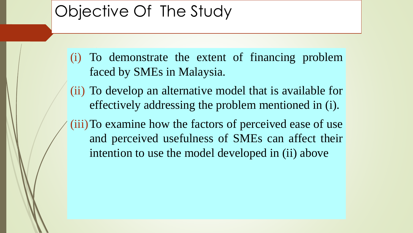# Objective Of The Study

- (i) To demonstrate the extent of financing problem faced by SMEs in Malaysia.
- (ii) To develop an alternative model that is available for effectively addressing the problem mentioned in (i).
- (iii)To examine how the factors of perceived ease of use and perceived usefulness of SMEs can affect their intention to use the model developed in (ii) above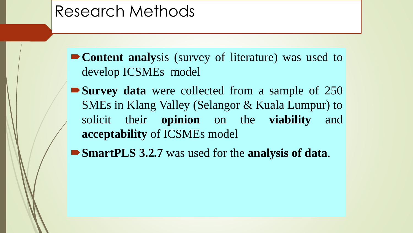### Research Methods

**Content analy**sis (survey of literature) was used to develop ICSMEs model

**Survey data** were collected from a sample of 250 SMEs in Klang Valley (Selangor & Kuala Lumpur) to solicit their **opinion** on the **viability** and **acceptability** of ICSMEs model

**SmartPLS 3.2.7** was used for the **analysis of data**.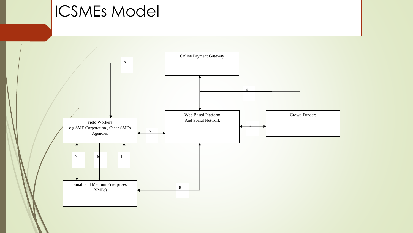## ICSMEs Model

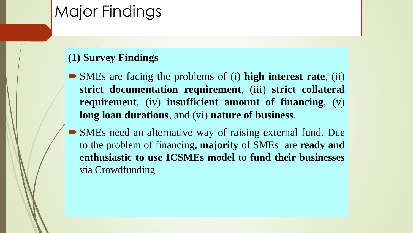# Major Findings

#### **(1) Survey Findings**

- SMEs are facing the problems of (i) **high interest rate**, (ii) **strict documentation requirement**, (iii) **strict collateral requirement**, (iv) **insufficient amount of financing**, (v) **long loan durations**, and (vi) **nature of business**.
- SMEs need an alternative way of raising external fund. Due to the problem of financing**, majority** of SMEs are **ready and enthusiastic to use ICSMEs model** to **fund their businesses** via Crowdfunding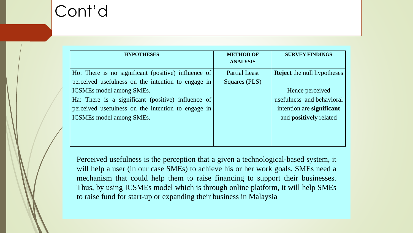| <b>HYPOTHESES</b>                                   | <b>METHOD OF</b>     | <b>SURVEY FINDINGS</b>            |
|-----------------------------------------------------|----------------------|-----------------------------------|
|                                                     | <b>ANALYSIS</b>      |                                   |
| Ho: There is no significant (positive) influence of | <b>Partial Least</b> | <b>Reject</b> the null hypotheses |
| perceived usefulness on the intention to engage in  | Squares (PLS)        |                                   |
| <b>ICSMEs model among SMEs.</b>                     |                      | Hence perceived                   |
| Ha: There is a significant (positive) influence of  |                      | usefulness and behavioral         |
| perceived usefulness on the intention to engage in  |                      | intention are significant         |
| <b>ICSMEs model among SMEs.</b>                     |                      | and <b>positively</b> related     |
|                                                     |                      |                                   |
|                                                     |                      |                                   |
|                                                     |                      |                                   |

Perceived usefulness is the perception that a given a technological-based system, it will help a user (in our case SMEs) to achieve his or her work goals. SMEs need a mechanism that could help them to raise financing to support their businesses. Thus, by using ICSMEs model which is through online platform, it will help SMEs to raise fund for start-up or expanding their business in Malaysia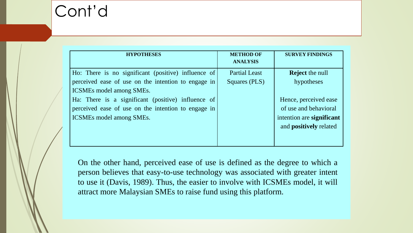| <b>HYPOTHESES</b>                                   | <b>METHOD OF</b>     | <b>SURVEY FINDINGS</b>        |
|-----------------------------------------------------|----------------------|-------------------------------|
|                                                     | <b>ANALYSIS</b>      |                               |
| Ho: There is no significant (positive) influence of | <b>Partial Least</b> | <b>Reject</b> the null        |
| perceived ease of use on the intention to engage in | Squares (PLS)        | hypotheses                    |
| <b>ICSMEs model among SMEs.</b>                     |                      |                               |
| Ha: There is a significant (positive) influence of  |                      | Hence, perceived ease         |
| perceived ease of use on the intention to engage in |                      | of use and behavioral         |
| <b>ICSMEs model among SMEs.</b>                     |                      | intention are significant     |
|                                                     |                      | and <b>positively</b> related |
|                                                     |                      |                               |
|                                                     |                      |                               |

On the other hand, perceived ease of use is defined as the degree to which a person believes that easy-to-use technology was associated with greater intent to use it (Davis, 1989). Thus, the easier to involve with ICSMEs model, it will attract more Malaysian SMEs to raise fund using this platform.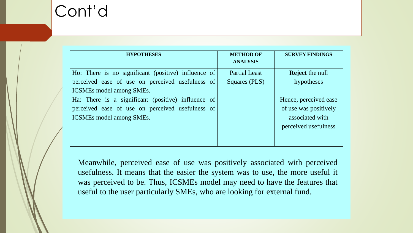| <b>HYPOTHESES</b>                                   | <b>METHOD OF</b>     | <b>SURVEY FINDINGS</b> |
|-----------------------------------------------------|----------------------|------------------------|
|                                                     | <b>ANALYSIS</b>      |                        |
| Ho: There is no significant (positive) influence of | <b>Partial Least</b> | <b>Reject</b> the null |
| perceived ease of use on perceived usefulness of    | Squares (PLS)        | hypotheses             |
| <b>ICSMEs model among SMEs.</b>                     |                      |                        |
| Ha: There is a significant (positive) influence of  |                      | Hence, perceived ease  |
| perceived ease of use on perceived usefulness of    |                      | of use was positively  |
| <b>ICSMEs model among SMEs.</b>                     |                      | associated with        |
|                                                     |                      | perceived usefulness   |
|                                                     |                      |                        |
|                                                     |                      |                        |

Meanwhile, perceived ease of use was positively associated with perceived usefulness. It means that the easier the system was to use, the more useful it was perceived to be. Thus, ICSMEs model may need to have the features that useful to the user particularly SMEs, who are looking for external fund.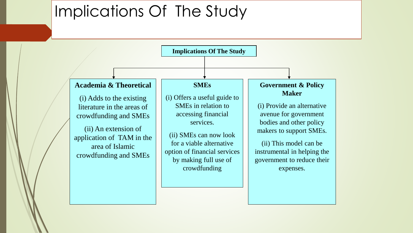### Implications Of The Study